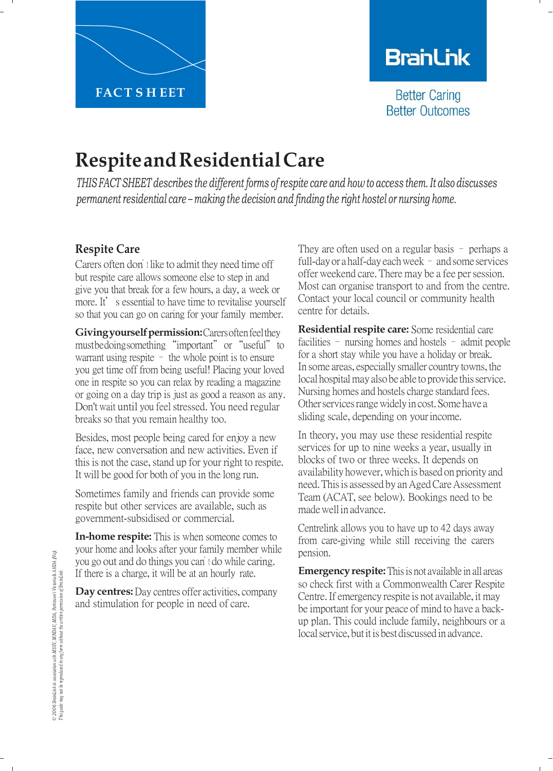

## **BranLink**

**Better Caring Better Outcomes** 

# **RespiteandResidentialCare**

THIS FACT SHEET describes the different forms of respite care and how to access them. It also discusses *permanent residential care – making the decision and finding the right hostel or nursing home.*

### **Respite Care**

Carers often don'<sup>t</sup> like to admit they need time off but respite care allows someone else to step in and give you that break for a few hours, a day, a week or more. It's essential to have time to revitalise yourself so that you can go on caring for your family member.

**Giving yourself permission:** Carers often feel they must bedoing something "important" or "useful" to warrant using respite – the whole point is to ensure you get time off from being useful! Placing your loved one in respite so you can relax by reading a magazine or going on a day trip is just as good a reason as any. Don't wait until you feel stressed. You need regular breaks so that you remain healthy too.

Besides, most people being cared for enjoy a new face, new conversation and new activities. Even if this is not the case, stand up for your right to respite. It will be good for both of you in the long run.

Sometimes family and friends can provide some respite but other services are available, such as government-subsidised or commercial.

**In-home respite:** This is when someone comes to your home and looks after your family member while you go out and do things you can'<sup>t</sup> do while caring. If there is a charge, it will be at an hourly rate.

**Day centres:** Day centres offer activities, company and stimulation for people in need of care.

They are often used on a regular basis – perhaps a full-day or a half-day each week – and some services offer weekend care. There may be a fee per session. Most can organise transport to and from the centre. Contact your local council or community health centre for details.

**Residential respite care:** Some residential care facilities – nursing homes and hostels – admit people for a short stay while you have a holiday or break. In some areas, especially smaller country towns, the local hospital may also be able to provide this service. Nursing homes and hostels charge standard fees. Other services range widely in cost. Some have a sliding scale, depending on yourincome.

In theory, you may use these residential respite services for up to nine weeks a year, usually in blocks of two or three weeks. It depends on availability however,which is based on priority and need. This is assessed by an Aged Care Assessment Team (ACAT, see below). Bookings need to be madewellin advance.

Centrelink allows you to have up to 42 days away from care-giving while still receiving the carers pension.

**Emergency respite:** This is not available in all areas so check first with a Commonwealth Carer Respite Centre.If emergency respite is not available, it may be important for your peace of mind to have a backup plan. This could include family, neighbours or a local service, but it is best discussed in advance.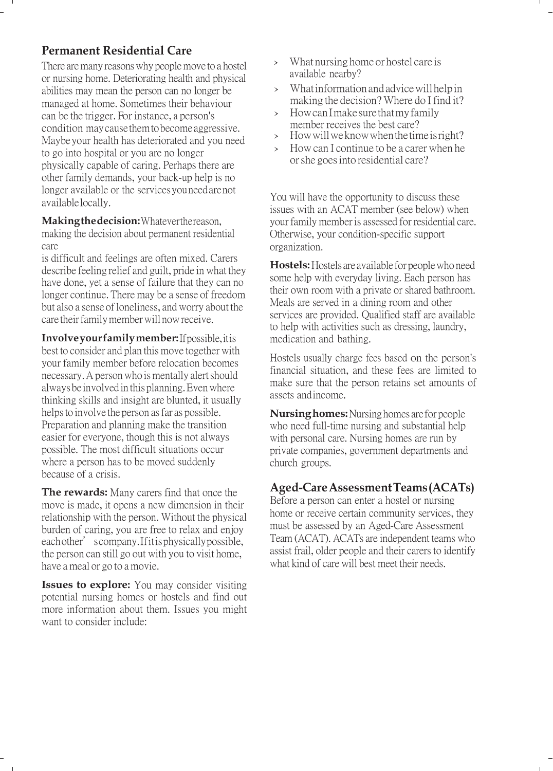## **Permanent Residential Care**

There are many reasons why people move to a hostel or nursing home. Deteriorating health and physical abilities may mean the person can no longer be managed at home. Sometimes their behaviour can be the trigger. For instance, a person's condition may cause them tobecome aggressive. Maybe your health has deteriorated and you need to go into hospital or you are no longer physically capable of caring. Perhaps there are other family demands, your back-up help is no longer available or the services you need are not available locally.

**Making the decision:** Whatever the reason, making the decision about permanent residential care

is difficult and feelings are often mixed. Carers describe feeling relief and guilt, pride in what they have done, yet a sense of failure that they can no longer continue. There may be a sense of freedom but also a sense of loneliness, and worry about the care their family member will now receive.

**Involve your family member:** Ifpossible, itis best to consider and plan this move together with your family member before relocation becomes necessary. A person who is mentally alert should always be involved in this planning. Even where thinking skills and insight are blunted, it usually helps to involve the person as far as possible. Preparation and planning make the transition easier for everyone, though this is not always possible. The most difficult situations occur where a person has to be moved suddenly because of a crisis.

**The rewards:** Many carers find that once the move is made, it opens a new dimension in their relationship with the person. Without the physical burden of caring, you are free to relax and enjoy each other' scompany. If it is physically possible, the person can still go out with you to visit home, have a meal or go to a movie.

**Issues to explore:** You may consider visiting potential nursing homes or hostels and find out more information about them. Issues you might want to consider include:

- What nursing home or hostel care is available nearby?
- › Whatinformationandadvicewillhelpin making the decision? Where do I find it?
- › HowcanImakesurethatmyfamily member receives the best care?
- › Howwillweknowwhenthetimeisright?
- › Howcan <sup>I</sup> continue to be <sup>a</sup> carerwhen he orshe goesinto residential care?

You will have the opportunity to discuss these issues with an ACAT member (see below) when your family member is assessed for residential care. Otherwise, your condition-specific support organization.

**Hostels:** Hostels are available for people who need some help with everyday living. Each person has their own room with a private or shared bathroom. Meals are served in a dining room and other services are provided. Qualified staff are available to help with activities such as dressing, laundry, medication and bathing.

Hostels usually charge fees based on the person's financial situation, and these fees are limited to make sure that the person retains set amounts of assets and income.

**Nursing homes:** Nursing homes are for people who need full-time nursing and substantial help with personal care. Nursing homes are run by private companies, government departments and church groups.

#### **Aged-Care Assessment Teams (ACATs)**

Before a person can enter a hostel or nursing home or receive certain community services, they must be assessed by an Aged-Care Assessment Team (ACAT). ACATs are independent teams who assist frail, older people and their carers to identify what kind of care will best meet their needs.